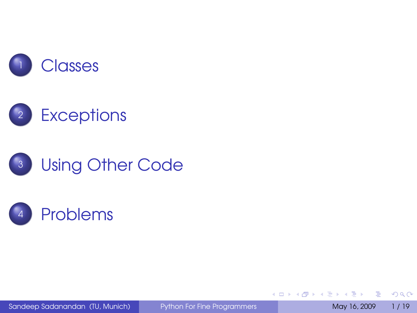







Sandeep Sadanandan (TU, Munich) [Python For Fine Programmers](#page-38-0) May 16, 2009 1/19

<span id="page-0-0"></span>

B

 $\left\{ \begin{array}{ccc} 1 & 0 & 0 \\ 0 & 1 & 0 \end{array} \right.$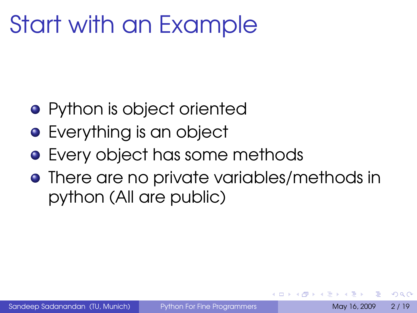## Start with an Example

- **•** Python is object oriented
- **•** Everything is an object
- **•** Every object has some methods
- <span id="page-1-0"></span>**•** There are no private variables/methods in python (All are public)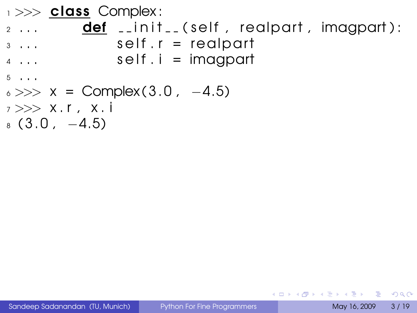```
1 >> class Complex:
_2 ... \blacksquare def \_init\_ (self , realpart , imagpart):
3 \ldots self. r = \text{regular}4 \ldots self. i = imagpart
5 \cdot \cdot \cdot6 \gg >> X = Complex (3.0, -4.5)7 >> X. r, x i
8(3.0, -4.5)
```
<span id="page-2-0"></span>KED KAP KED KED E VOOR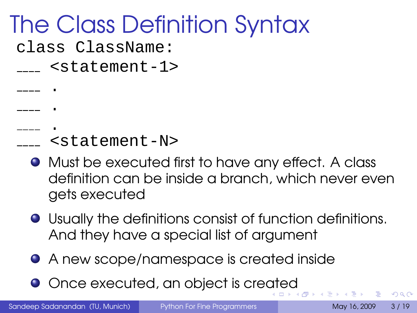## The Class Definition Syntax

class ClassName:

. .

<statement-1>

- . <statement-N>
	- Must be executed first to have any effect. A class definition can be inside a branch, which never even gets executed
	- Usually the definitions consist of function definitions. And they have a special list of argument
	- A new scope/namespace is created inside
	- Once executed, an object is cre[at](#page-2-0)[ed](#page-4-0)

Sandeep Sadanandan (TU, Munich) [Python For Fine Programmers](#page-0-0) May 16, 2009 3/19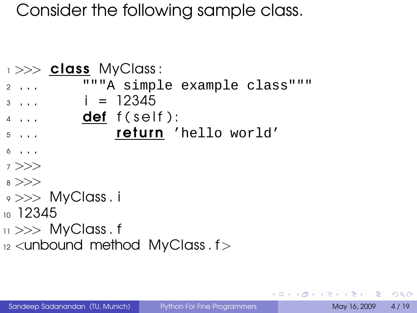#### Consider the following sample class.

```
1 >> class MyClass:
2 . . . """A simple example class"""
3 \ldots i = 12345\overline{4} ... def f ( self ) :
5 . . . return 'hello world'
6 \cdot \cdot \cdot7 >>>
8 >>>
\rightarrow >> MyClass . i
10.12345_{11} >> MyClass . f
_{12} <unbound method MyClass f
```
œ.  $\Omega$ 

<span id="page-4-0"></span>イロト イ押 トイヨ トイヨト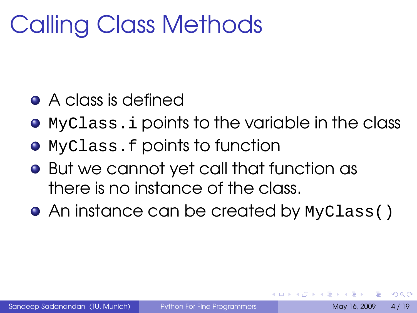## Calling Class Methods

- A class is defined
- MyClass.i points to the variable in the class
- MyClass.f points to function
- But we cannot yet call that function as there is no instance of the class.
- An instance can be created by MyClass()

つひへ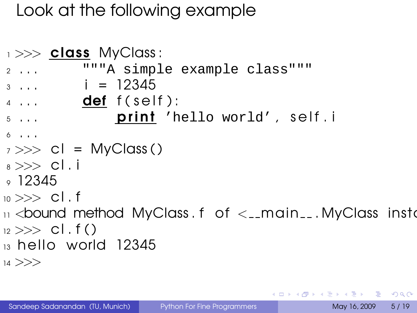#### Look at the following example

```
1 >> class MyClass:
2 . . . """A simple example class"""
3 \ldots i = 12345\frac{4}{4} ... def f ( self ) :
5 ... print 'hello world', self.i
6 \cdot \cdot \cdot7 \gg > cl = MyClass()
8 \gg > cl. i
\degree 12345
10 \gg > > cl. f
\overline{11} <bound method MyClass . f of \overline{2} -main \overline{1} . MyClass instantially
_{12} >> cl. f()_{13} hello world 12345
14 >>>
```
KEL KALLA BIKA BIKA AGA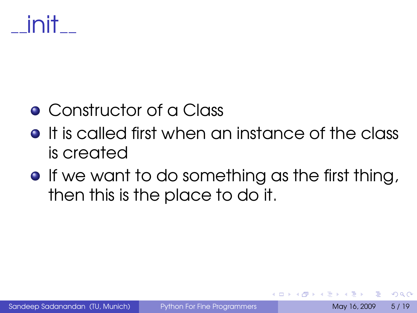# init

### **• Constructor of a Class**

- **•** It is called first when an instance of the class is created
- **•** If we want to do something as the first thing, then this is the place to do it.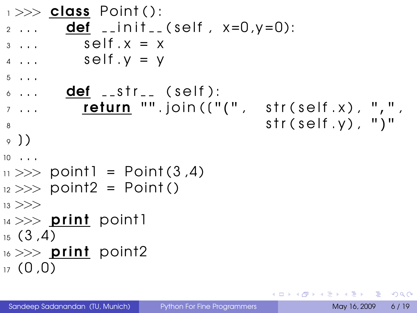```
\rightarrow >> class Point ():
2 ... def __init__(self, x=0, y=0):
\overline{\mathbf{3} \dots} self \mathbf{X} = \mathbf{X}4 \ldots self V = V5 \cdot \cdot \cdot\delta ... \delta def \delta _str \delta (self):
\overline{z} ... return "".join((\overline{y}, \overline{y}) str(self.x), ",",
\mathsf{str}(\mathsf{self}.\mathsf{y}), ")"
9)10 \t ...\mu >> point1 = Point (3,4)
12 >> point2 = Point()
13 >>>
\mu >> print point]
15(3,4)16 \gg >> print point2
17(0.0)
```
KEL KALLA BIKA BIKA AGA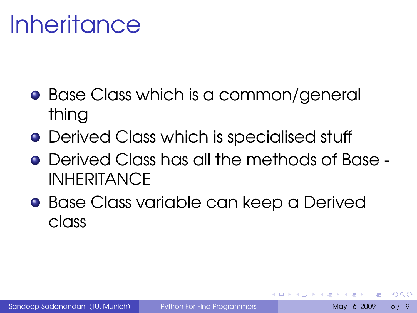## **Inheritance**

- **Base Class which is a common/general** thing
- **•** Derived Class which is specialised stuff
- Derived Class has all the methods of Base **INHERITANCE**
- **Base Class variable can keep a Derived** class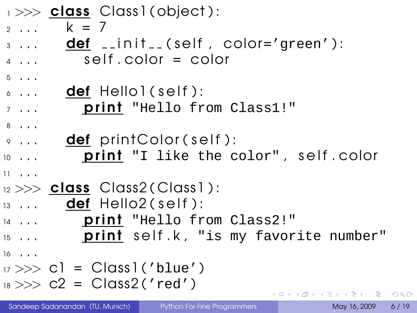|                        | $\rightarrow$ $\rightarrow$ class Class1(object): |
|------------------------|---------------------------------------------------|
| $2 + 1$                | $k = 7$                                           |
| $3 \cdot \cdot \cdot$  | $def$ _init_(self, color='green'):                |
| $4 \cdot \cdot \cdot$  | $self.color = color$                              |
| $5 \cdot \cdot \cdot$  |                                                   |
| $6 \cdot \cdot \cdot$  | <b>def</b> Hellol(self):                          |
| $7 \cdot \cdot \cdot$  | print "Hello from Class1!"                        |
| $8 \cdot \cdot \cdot$  |                                                   |
| $9 \cdot \cdot \cdot$  | def print Color (self):                           |
| $10 \cdot \cdot \cdot$ | print "I like the color", self.color              |
| $11 \cdot \ldots$      |                                                   |
|                        | $_{12}$ $>>$ class Class2(Class1):                |
|                        | $\overline{13}$ <b>def</b> Hello2(self):          |
| $14 \cdot \cdot \cdot$ | print "Hello from Class2!"                        |
| $15 \cdot \cdot \cdot$ | print self.k, "is my favorite number"             |
| $16 \cdot \cdot \cdot$ |                                                   |
|                        |                                                   |
|                        | $_{18} >> C2 = Class2('red')$                     |
|                        | ⊀ ロ ▶ ⊀ 御 ▶ ∢ 君 ▶ ∢ 君 ▶ ○ 君 ○                     |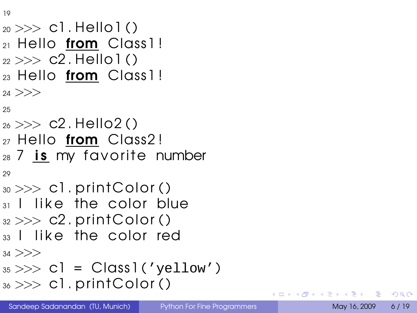19

```
20 >>> c1 . Hello1 ( )
_{21} Hello from Class1!
22 >> C2. Hello 1 ()
_{23} Hello from Class1!
24 >>25
_{26} >> c2. Hello2()
27 Hello from Class2!
28 7 is my favorite number
29
_{30} >> cl. print Color ()
_3 I like the color blue
32 \gg D2. print Color ()
33 I like the color red
34 >>>
35 \gg D \text{ cl} = \text{Class}(1 \text{ yellow}^{\prime})_{36} >> cl. print Color ()
```
œ.  $\Omega$ 

 $\leftarrow$   $\Box$   $\rightarrow$   $\leftarrow$   $\leftarrow$   $\Box$   $\rightarrow$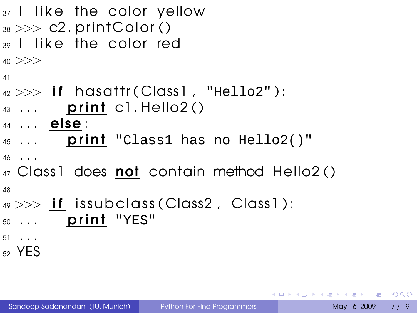```
37 I like the color yellow
38 \gg >c2. print Color ()
39 I like the color red
40 >>>
41
42 \gg\gg if hasattr (Class1, "Hello2"):
43 ... print cl. Hello2()
44 . . . else :
45 ... print "Class1 has no Hello2()"
46 \tcdot \tcdot47 Class1 does not contain method Hello2()
48
49 \gg\frac{if}{s} issubclass (Class2, Class1):
50 ... print "YES"
51 \tcdot \tcdot<sub>52</sub> YES
```
**KORK EXTERICATION**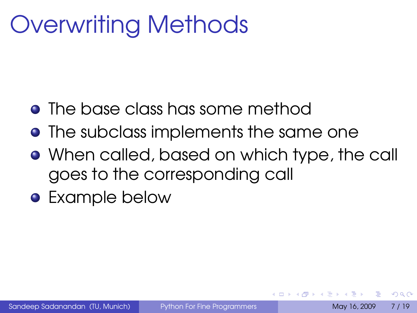## Overwriting Methods

- The base class has some method
- **•** The subclass implements the same one
- When called, based on which type, the call goes to the corresponding call
- Example below

 $\Omega$ 

 $\leftarrow$   $\Box$   $\rightarrow$   $\leftarrow$   $\leftarrow$   $\rightarrow$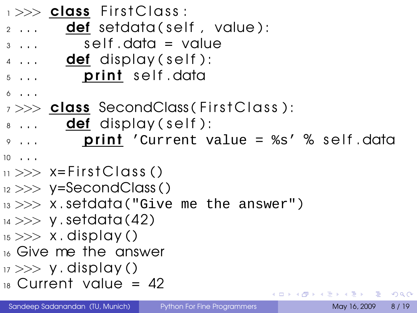|                        | 1>>> class FirstClass:                         |                                        |  |  |  |                                       |  |
|------------------------|------------------------------------------------|----------------------------------------|--|--|--|---------------------------------------|--|
|                        | $\frac{1}{2}$ <b>def</b> setdata(self, value): |                                        |  |  |  |                                       |  |
| $3 \cdot \cdot \cdot$  |                                                | $self.data = value$                    |  |  |  |                                       |  |
|                        | $\frac{d}{dx}$ <b>def</b> display (self):      |                                        |  |  |  |                                       |  |
| $5 \cdot \cdot \cdot$  |                                                | print self.data                        |  |  |  |                                       |  |
| $6 \cdot \cdot \cdot$  |                                                |                                        |  |  |  |                                       |  |
|                        | 7>>> class SecondClass (FirstClass):           |                                        |  |  |  |                                       |  |
|                        | 8 <b>def</b> display (self):                   |                                        |  |  |  |                                       |  |
| $9 \cdot \cdot \cdot$  |                                                | print 'Current value = %s' % self.data |  |  |  |                                       |  |
| $10 \cdot \cdot \cdot$ |                                                |                                        |  |  |  |                                       |  |
|                        | $_{11}$ $>>$ x=FirstClass ()                   |                                        |  |  |  |                                       |  |
|                        | $_{12} >> y =$ SecondClass()                   |                                        |  |  |  |                                       |  |
|                        | $13 \gg >> X$ . Setdata ("Give me the answer") |                                        |  |  |  |                                       |  |
|                        | $_{14} >> y$ . setdata (42)                    |                                        |  |  |  |                                       |  |
|                        | $_{15} >> x$ . display ()                      |                                        |  |  |  |                                       |  |
|                        | 16 Give me the answer                          |                                        |  |  |  |                                       |  |
|                        | $\mu >> y$ . display ()                        |                                        |  |  |  |                                       |  |
|                        | $18$ Current value = 42                        |                                        |  |  |  |                                       |  |
|                        |                                                |                                        |  |  |  | K □ ▶ K @ ▶ K 로 ▶ K 로 ▶ _ 로 _ K 9 Q @ |  |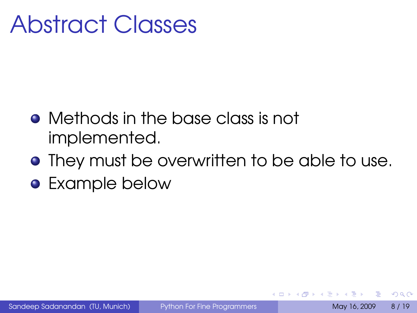### Abstract Classes

- Methods in the base class is not implemented.
- **•** They must be overwritten to be able to use.
- **•** Example below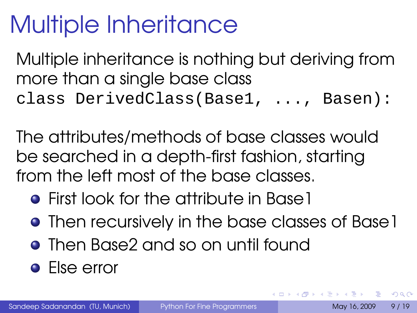## Multiple Inheritance

Multiple inheritance is nothing but deriving from more than a single base class class DerivedClass(Base1, ..., Basen):

The attributes/methods of base classes would be searched in a depth-first fashion, starting from the left most of the base classes.

- **•** First look for the attribute in Base 1
- **•** Then recursively in the base classes of Base 1
- Then Base2 and so on until found
- Else error

÷.

 $\Omega$ 

イロト イ母 トイラト イラトー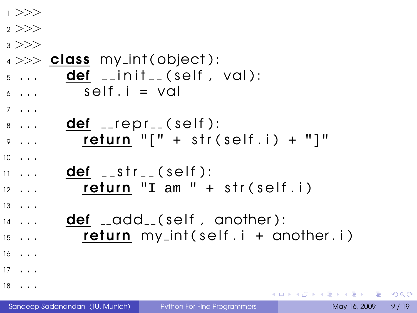| 1 > >>                 |                                            |
|------------------------|--------------------------------------------|
| 2 >>                   |                                            |
| $3 \gt>>$              |                                            |
|                        | $4 \gg >$ class my int(object):            |
| $5 \cdot \cdot \cdot$  | $def \_init \_ (self \, val):$             |
| $6 \cdot \cdot \cdot$  | $self.i = val$                             |
| $7 \cdot \cdot \cdot$  |                                            |
| $8 \cdot \cdot \cdot$  | def __repr__(self):                        |
| $9 \cdot \cdot \cdot$  | <b>return</b> $"[' + str(self.i) + "]"$    |
| $10 \cdot \cdot \cdot$ |                                            |
| $11 + 11$              | $def \_str_{str_{-}}(self):$               |
| $12 \cdot \cdot \cdot$ | return "I am " + str(self.i)               |
| $13 \cdot \cdot \cdot$ |                                            |
| $14 \cdot \cdot \cdot$ | def __add__(self, another):                |
| $15 \cdot \cdot \cdot$ | <b>return</b> $my.int(self.i + another.i)$ |
| $16 \cdot \cdot \cdot$ |                                            |
| $17 \cdot \cdot \cdot$ |                                            |
| $18 \cdot \cdot \cdot$ | ⊀ ロ ▶ ⊀ 御 ▶ ⊀ 君 ▶ ⊀ 君 ▶                    |

重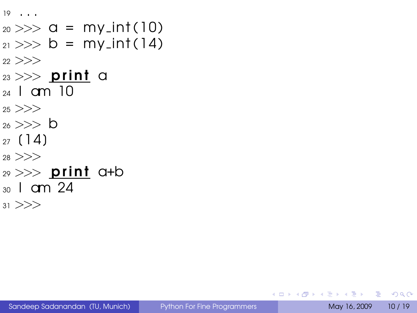```
19 . . .
_{20} >> \alpha = my\_int(10)21 \gg b = my(int (14)22 >>_{23} >> print a
_{24} I am 10
25 >>26 \gg >> 627(14)28 >>_{29}>>> print a+b
30 I am 24
31 >>>
```
**KOD & CONTRACT A REPORT**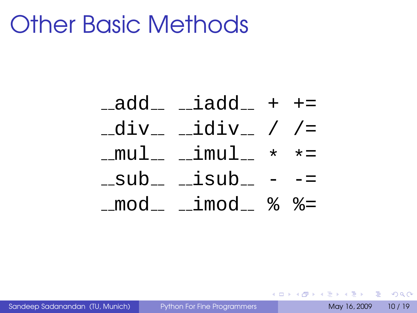### Other Basic Methods

 $\text{add}_{-}$   $\text{indd}_{-}$  +  $\text{+}$  $-div$   $\_idiv$  / /= mul imul \* \*=  $\_sub$   $\_isub$   $$ mod imod % %=

Sandeep Sadanandan (TU, Munich) [Python For Fine Programmers](#page-0-0) May 16, 2009 10 / 19

KEL KALLA BIK KEL GA MAN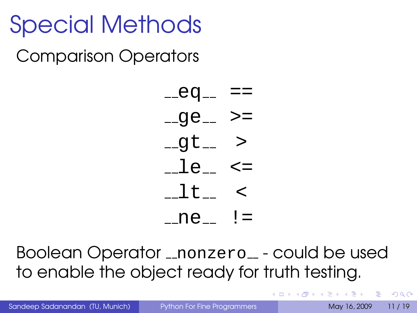# Special Methods

Comparison Operators



Boolean Operator \_nonzero\_ - could be used to enable the object ready for truth testing.

Sandeep Sadanandan (TU, Munich) [Python For Fine Programmers](#page-0-0) May 16, 2009 11 / 19

**KORKARKKERKE PROGRAM**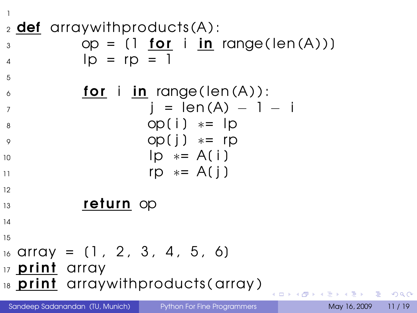1

 $2$  def arraywith products  $(A)$ :  $\infty$  op = (1 **for** i **in** range(len(A))) 4  $|D = rD = 1$ 5  $\delta$  **for i in** range (len  $(A)$ ):  $\bar{i} = len(A) - 1 - i$  $8 \qquad \qquad \text{op}(i) \qquad \text{#} = 1 \text{p}$ <sup>9</sup> op[ j ] ∗= rp  $10 \times = A(i)$ 11 rp  $* = A(i)$ 12 <sup>13</sup> return op 14 15  $16$  array =  $(1, 2, 3, 4, 5, 6)$ 17 **print** array 18 **print** arraywith products (array) **4 日下 4 母下 4** 

Sandeep Sadanandan (TU, Munich) [Python For Fine Programmers](#page-0-0) May 16, 2009 11 / 19

 $4 \equiv 1$   $\equiv$   $990^\circ$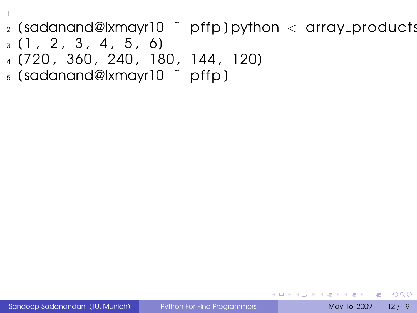- $_2$  (sadanand@lxmayr10  $\degree$  pffp) python  $\lt$  array products
- $3 \times 1$ , 2, 3, 4, 5, 6

1

- <sup>4</sup> [720 , 360 , 240 , 180 , 144 , 120]
- <sup>5</sup> [ sadanand@lxmayr10 ˜ p ffp ]

<span id="page-22-0"></span>**KO FREEZER ABY A GOOD**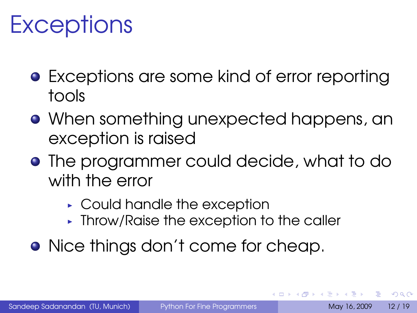## **Exceptions**

- **•** Exceptions are some kind of error reporting tools
- When something unexpected happens, an exception is raised
- **•** The programmer could decide, what to do with the error
	- ► Could handle the exception
	- ▸ Throw/Raise the exception to the caller
- Nice things don't come for cheap.

∍

 $\Omega$ 

ミドイミド

**←ロト ←何ト**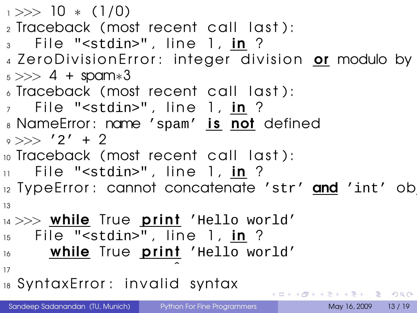$1 >> 10 * (1/0)$  $_2$  Traceback (most recent call last):  $3$  File "<stdin>", line 1, in ? 4 Zero Division Error: integer division or modulo by  $5 \gg 4 +$  spam $*3$  $\delta$  Traceback (most recent call last):  $\overline{7}$  File "<stdin>", line 1, in ? 8 NameError: name 'spam' is not defined  $9 \gg >> '2' + 2$ 10 Traceback (most recent call last):  $\overline{11}$  File "<stdin>", line 1, in ? 12 TypeError: cannot concatenate 'str' and 'int' ob 13  $14$  >>> while True print 'Hello world'  $15$  File "<stdin>", line 1, in ? 16 **while** True **prini** 'Hello world'  $\overline{17}$   $\overline{17}$ 

18 Syntax Error: invalid syntax

**KOD & CONTRACT A REPORT**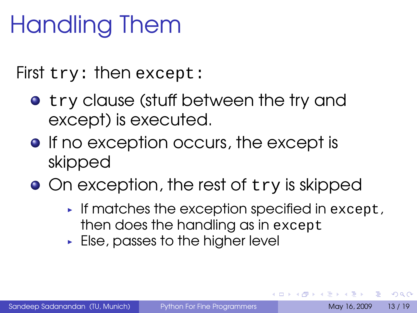# Handling Them

First try: then except:

- **•** try clause (stuff between the try and except) is executed.
- **•** If no exception occurs, the except is skipped
- On exception, the rest of try is skipped
	- $\triangleright$  If matches the exception specified in except, then does the handling as in except
	- $\blacktriangleright$  Else, passes to the higher level

÷.

 $\Omega$ 

無家 不無家人

**K ロ ト K 何 ト K**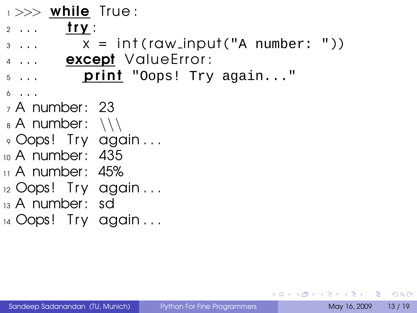$1 >>$  while True:

- $2 \ldots$  try:
- $3 \ldots x = \text{int}(\text{raw} \text{input}("A \text{ number}: "))$
- 4 ... **except** Value Error:
- $5...$  print "Oops! Try again..."
- <sup>6</sup> . . .
- $_7$  A number: 23
- $_8$  A number:  $\setminus\setminus$
- 9 Oops! Try again ...
- <sup>10</sup> A number : 435
- $\scriptstyle\rm II$  A number: 45%
- $_{12}$  Oops! Try again...
- <sup>13</sup> A number : sd
- $_{14}$  Oops! Try again ...

KEL KALLA BIKA BIKA AGA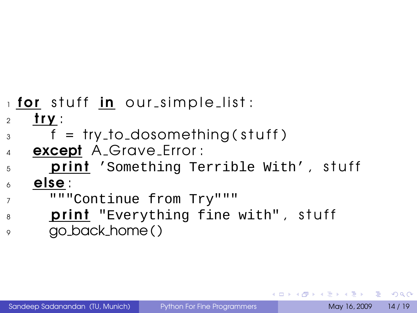#### $_1$  for stuff in our simple list:

- try:
- $\beta$  f = try\_to\_dosomething (stuff)
- **except** A Grave Error:
- **print** 'Something Terrible With', stuff
- else :
- """Continue from Try"""
- **print** "Everything fine with", stuff
- go back home ( )

KEL KALLA BIKA BIKA AGA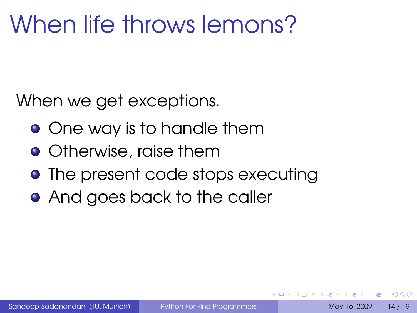## When life throws lemons?

When we get exceptions.

- **•** One way is to handle them
- **•** Otherwise, raise them
- The present code stops executing
- **And goes back to the caller**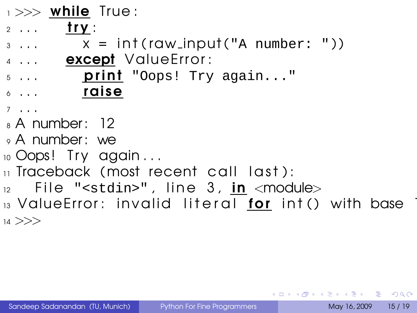$\rightarrow >>$  while True:

- $2 \ldots$  try:
- $\beta$  ...  $\chi = \int \int \Gamma(\text{raw} \cdot \text{input}(\text{var} \cdot \text{number} : \text{var} \cdot \text{input}(\text{var} \cdot \text{input} \cdot \text{input} \cdot \text{input} \cdot \text{input} \cdot \text{input} \cdot \text{input} \cdot \text{input} \cdot \text{input} \cdot \text{input} \cdot \text{input} \cdot \text{input} \cdot \text{input} \cdot \text{input} \cdot \text{input} \cdot \text{input} \cdot \text{input} \cdot \text{input} \cdot \text{input} \cdot \text{input} \cdot \text{input} \cdot \text{input} \cdot \text{input} \cdot \text{input$
- 4 ... **except** Value Error:
- $5...$  print "Oops! Try again..."  $\delta$  ... raise
- <sup>7</sup> . . .
- <sup>8</sup> A number : 12
- <sup>9</sup> A number : we
- $10$  Oops! Try again...
- $\overline{11}$  Traceback (most recent call last):
- $12$  File "<stdin>", line 3, in <module>

 $_{13}$  Value Error: invalid literal for int () with base  $14$  >>>

KEL KALLA BIKA BIKA AGA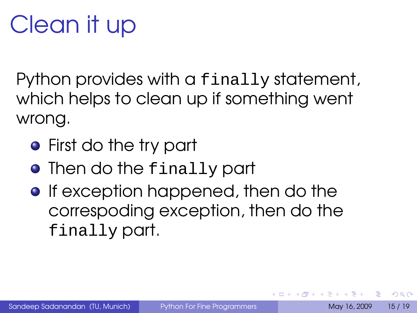# Clean it up

Python provides with a finally statement, which helps to clean up if something went wrong.

- First do the try part
- **Then do the finally part**
- **•** If exception happened, then do the correspoding exception, then do the finally part.

÷.

 $\Omega$ 

 $\rightarrow$   $\pm$   $\rightarrow$ 

 $\leftarrow$   $\Box$   $\rightarrow$   $\leftarrow$   $\leftarrow$   $\Box$   $\rightarrow$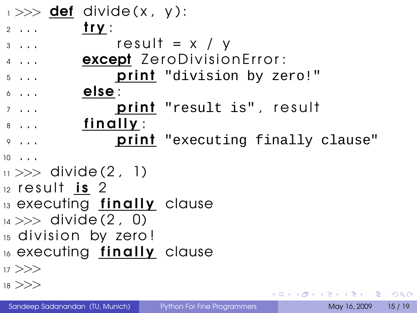| $\rightarrow >>$ def divide(x, y):        |                                         |
|-------------------------------------------|-----------------------------------------|
| <u>try</u> :<br>$2 \cdot \cdot \cdot$     |                                         |
| $3 \cdot \cdot \cdot$                     | $result = x / y$                        |
| $4 \cdot \cdot \cdot$                     | except ZeroDivisionError:               |
| $5 \cdot \cdot \cdot$                     | print "division by zero!"               |
| else :<br>$6 \cdot \cdot \cdot$           |                                         |
| $7 \cdot \cdot \cdot$                     | print "result is", result               |
| <u>finally</u> :<br>$8 \cdot \cdot \cdot$ |                                         |
| $9 \cdot \cdot \cdot$                     | <b>print</b> "executing finally clause" |
| $10 \cdot \cdot \cdot$                    |                                         |
| $_{11}$ >>> divide (2, 1)                 |                                         |
| $12$ result is 2                          |                                         |
| 13 executing finally clause               |                                         |
| $_{14}$ >>> divide (2, 0)                 |                                         |
| 15 division by zero!                      |                                         |
| 16 executing finally clause               |                                         |
| $17$ $>>$                                 |                                         |
| $18$ $>>$                                 | メロトメ 御 トメ 君 トメ 君 トッ 君                   |
|                                           |                                         |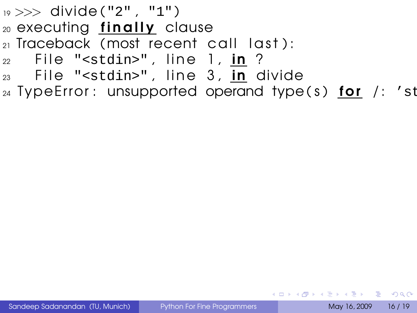- $_{19} >>$  divide ("2", "1")
- $20$  executing finally clause
- $_{21}$  Traceback (most recent call last):
- $_{22}$  File "<stdin>", line 1, in ?
- $23$  File "<stdin>", line 3, in divide
- $24$  TypeError: unsupported operand type (s) for /: 'stra

**KO FREEZER ABY A GOOD**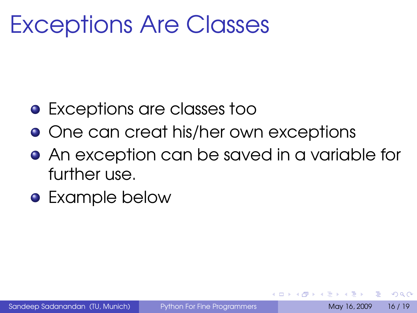### Exceptions Are Classes

- Exceptions are classes too
- One can creat his/her own exceptions
- **•** An exception can be saved in a variable for further use.
- Example below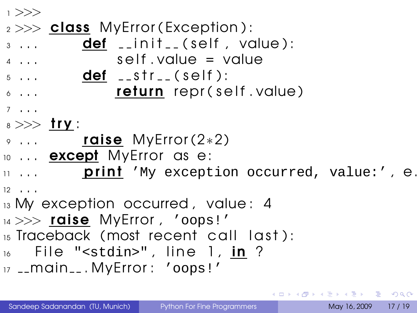<sup>1</sup> >>>  $2 >>$  class MyError (Exception):  $\overline{3}$  ...  $\overline{4}$  def  $\overline{1}$  in it  $\overline{1}$  (self , value):  $4 \ldots$  self value = value  $5 \ldots$  def  $_{-}$ str $_{-}$ (self):  $\delta$  ... **return** repr (self value) <sup>7</sup> . . .  $_8 >>$  try :  $9 \ldots$  raise MyError (2 $*2$ ) 10 ... **except** MyError as e:  $11$  ... **prini** 'My exception occurred, value:',  $\theta$ .  $12 \cdot . . .$ 13 My exception occurred, value: 4 14 >>> raise MyError, 'oops!' 15 Traceback (most recent call last):  $_{16}$  File "<stdin>", line 1, in ? 17 \_\_main\_\_. MyError : 'oops!'

<span id="page-34-0"></span>**KORK EXTERICATION**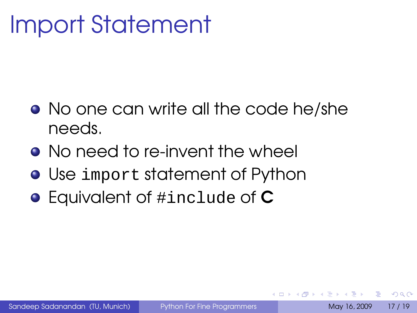## Import Statement

- No one can write all the code he/she needs.
- No need to re-invent the wheel
- Use import statement of Python
- **•** Equivalent of #include of **C**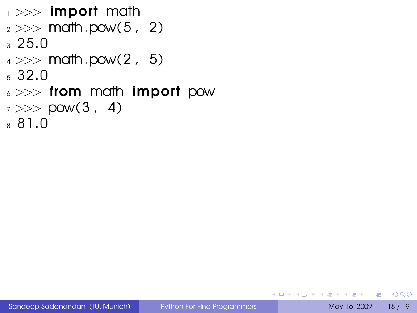- $_1 >>$  import math  $2 >>$  math.pow(5, 2)  $3, 25.0$  $4 \gg \gg$  math.pow(2, 5) <sup>5</sup> 32.0 6 >>> from math import pow  $7 >>$  pow(3, 4)
- <sup>8</sup> 81.0

**KOD & CONTRACT A REPORT**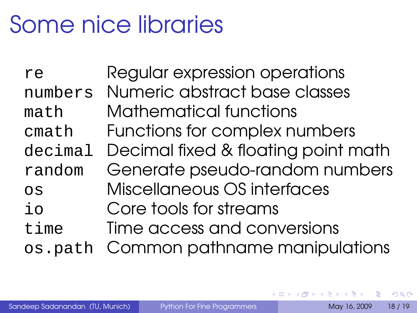## Some nice libraries

re Regular expression operations numbers Numeric abstract base classes math Mathematical functions cmath Functions for complex numbers decimal Decimal fixed & floating point math random Generate pseudo-random numbers os Miscellaneous OS interfaces io Core tools for streams time Time access and conversions os.path Common pathname manipulations

 $\Omega$ 

新 にっぽん

**←ロト ←何ト**